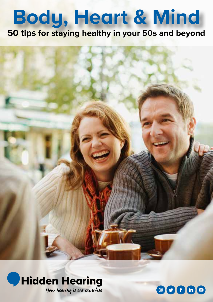# **Body, Heart & Mind**

**50 tips for staying healthy in your 50s and beyond**



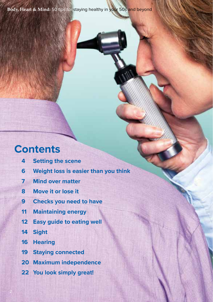### **Contents**

- **Setting the scene**
- **Weight loss is easier than you think**
- **Mind over matter**
- **Move it or lose it**
- **Checks you need to have**
- **Maintaining energy**
- **Easy guide to eating well**
- **Sight**

- **Hearing**
- **Staying connected**
- **Maximum independence**
- **You look simply great!**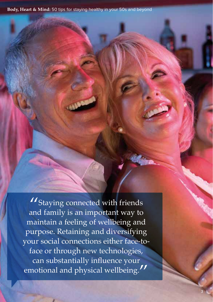*IStaying connected with friends* and family is an important way to maintain a feeling of wellbeing and purpose. Retaining and diversifying your social connections either face-toface or through new technologies, can substantially influence your emotional and physical wellbeing."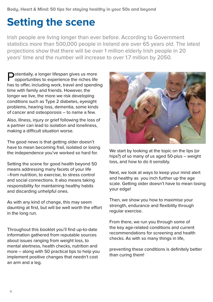### **Setting the scene**

Irish people are living longer than ever before. According to Government statistics more than 500,000 people in Ireland are over 65 years old. The latest projections show that there will be over 1 million elderly Irish people in 20 years' time and the number will increase to over 1.7 million by 2050.

Potentially, a longer lifespan gives us more opportunities to experience the riches life has to offer, including work, travel and spending time with family and friends. However, the longer we live, the more we risk developing conditions such as Type 2 diabetes, eyesight problems, hearing loss, dementia, some kinds of cancer and osteoporosis – to name a few.

Also, illness, injury or grief following the loss of a partner can lead to isolation and loneliness, making a difficult situation worse.

The good news is that getting older doesn't have to mean becoming frail, isolated or losing the independence you've worked so hard for.

Setting the scene for good health beyond 50 means addressing many facets of your life –from nutrition, to exercise, to stress control and social connections. It also means taking responsibility for maintaining healthy habits and discarding unhelpful ones.

As with any kind of change, this may seem daunting at first, but will be well worth the effort in the long run.

Throughout this booklet you'll find up-to-date information gathered from reputable sources about issues ranging from weight loss, to mental alertness, health checks, nutrition and more – along with 50 practical tips to help you implement positive changes that needn't cost an arm and a leg.



We start by looking at the topic on the lips (or hips?) of so many of us aged 50-plus – weight loss, and how to do it sensibly.

Next, we look at ways to keep your mind alert and healthy as you inch further up the age scale. Getting older doesn't have to mean losing your edge!

Then, we show you how to maximise your strength, endurance and flexibility through regular exercise.

From there, we run you through some of the key age-related conditions and current recommendations for screening and health checks. As with so many things in life,

preventing these conditions is definitely better than curing them!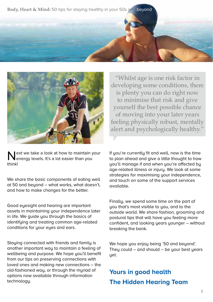



ext we take a look at how to maintain your energy levels. It's a lot easier than you think!

We share the basic components of eating well at 50 and beyond – what works, what doesn't, and how to make changes for the better.

Good eyesight and hearing are important assets in maintaining your independence later in life. We guide you through the basics of identifuing and treating common age-related conditions for your eyes and ears.

Staying connected with friends and family is another important way to maintain a feeling of wellbeing and purpose. We hope you'll benefit from our tips on preserving connections with loved ones and making new connections – the old-fashioned way, or through the myriad of options now available through information technology.

"Whilst age is one risk factor in developing some conditions, there is plenty you can do right now to minimise that risk and give yourself the best possible chance of moving into your later years feeling physically robust, mentally alert and psychologically healthy."

If you're currently fit and well, now is the time to plan ahead and give a little thought to how uou'll manage if and when you're affected by age-related illness or injury. We look at some strategies for maximising your independence, and touch on some of the support services available.

Finally, we spend some time on the part of you that's most visible to you, and to the outside world. We share fashion, grooming and postural tips that will have you feeling more confident, and looking years younger – without breaking the bank.

We hope you enjoy being '50 and beyond'. They could – and should – be your best years uet.

#### **Yours in good health The Hidden Hearing Team**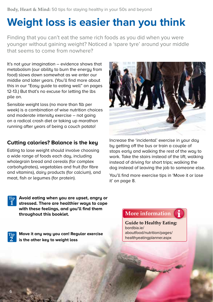# **Weight loss is easier than you think**

Finding that you can't eat the same rich foods as you did when you were younger without gaining weight? Noticed a 'spare tyre' around your middle that seems to come from nowhere?

It's not your imagination – evidence shows that metabolism (our abilitu to burn the energu from food) slows down somewhat as we enter our middle and later years. (You'll find more about this in our "Easu guide to eating well" on pages 12-13.) But that's no excuse for letting the lbs pile on.

Sensible weight loss (no more than 1lb per week) is a combination of wise nutrition choices and moderate intensity exercise – not going on a radical crash diet or taking up marathon running after years of being a couch potato!

#### **Cutting calories? Balance is the key**

Eating to lose weight should involve choosing a wide range of foods each day, including wholegrain bread and cereals (for complex carbohydrates), vegetables and fruit (for fibre and vitamins), dairy products (for calcium), and meat, fish or legumes (for protein).



Increase the 'incidental' exercise in your day by getting off the bus or train a couple of stops early and walking the rest of the way to work. Take the stairs instead of the lift; walking instead of driving for short trips; walking the dog instead of leaving the job to someone else.

You'll find more exercise tips in 'Move it or lose it' on page 8.

**Tip 1**

**Avoid eating when you are upset, angry or**  stressed. There are healthier ways to cope **with these feelings, and you'll find them throughout this booklet.**

**Tip 2**

**Move it any way you can! Regular exercise is the other key to weight loss**

#### **More information**

**Guide to Healthy Eating:**  bordbia.ie/ aboutfood/nutrition/pages/ healthyeatingplanner.aspx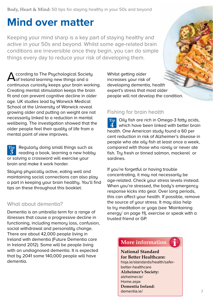### **Mind over matter**

Keeping your mind sharp is a key part of staying healthy and active in your 50s and beyond. Whilst some age-related brain conditions are irreversible once they begin, you can do simple things every day to reduce your risk of developing them.

According to The Psychological Society<br>
of Ireland learning new things and a continuous curiositu keeps your brain working. Creating mental stimulation keeps the brain fit and can prevent cognitive decline in older age. UK studies lead by Warwick Medical School at the Universitu of Warwick reveal growing older and putting on weight are not necessarily linked to a reduction in mental wellbeing. The investigation showed that the older people feel their quality of life from a mental point of view improves.

Regularly doing small things such as **Tip**  reading a book, learning a new hobby or solving a crossword will exercise your brain and make it work harder. **3**

Staying physically active, eating well and maintaining social connections can also play a part in keeping your brain healthy. You'll find tips on these throughout this booklet.

#### What about dementia?

Dementia is an umbrella term for a range of illnesses that cause a progressive decline in functioning, including memory loss, confusion, social withdrawal and personality change. There are about 42,000 people living in Ireland with dementia (Future Dementia care in Ireland 2012). Some will be people living with an undiagnosed dementia. It is expected that by 2041 some 140,000 people will have dementia.

Whilst getting older increases your risk of developing dementia, health expert's stress that most older people will not develop the condition.

#### Fishing for brain health

Oily fish are rich in Omega-3 fatty acids, **Tip**  which have been linked with better brain **4** health. One American study found a 60 per cent reduction in risk of Alzheimer's disease in people who ate oily fish at least once a week, compared with those who rarely or never ate fish. Try fresh or tinned salmon, mackerel or sardines.

If you're forgetful or having trouble concentrating, it may not necessarily be age-related. Check your stress levels instead. When you're stressed, the bodu's emergency response kicks into gear. Over long periods, this can affect your health. If possible, remove the source of your stress. It may also help to try meditation or yoga (see 'Maintaining energy' on page 11), exercise or speak with a trusted friend or GP.

#### **More information**

**National Standard for Better Healthcare:** hiqa.ie/standards/health/saferbetter-healthcare **Alzheimer's Society:** alzheimer.ie/ Home.aspx **Dementia Ireland:** dementia.ie/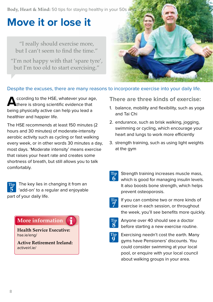### **Move it or lose it**

"I really should exercise more, but I can't seem to find the time."

"I'm not happy with that 'spare tyre', but I'm too old to start exercising."



Despite the excuses, there are many reasons to incorporate exercise into your daily life.

**A**ccording to the HSE, whatever your age, there is strong scientific evidence that being physically active can help you lead a healthier and happier life.

The HSE recommends at least 150 minutes (2 hours and 30 minutes) of moderate-intensity aerobic activity such as cycling or fast walking every week, or in other words 30 minutes a day, most days. 'Moderate intensity' means exercise that raises your heart rate and creates some shortness of breath, but still allows you to talk comfortably.

The key lies in changing it from an 'add-on' to a regular and enjoyable part of your daily life. **Tip 5**

#### **More information**

**Health Service Executive:** hse.ie/eng/

**Active Retirement Ireland:** activeirl.ie/

#### **There are three kinds of exercise:**

- 1. balance, mobility and flexibility, such as yoga and Tai Chi
- 2. endurance, such as brisk walking, jogging, swimming or cycling, which encourage your heart and lungs to work more efficiently
- 3. strength training, such as using light weights at the gym
- Tip Strength training increases muscle mass,<br>**6** which is good for managing insulin levels which is good for managing insulin levels. It also boosts bone strength, which helps prevent osteoporosis.
- **Tip 7**

If you can combine two or more kinds of exercise in each session, or throughout the week, you'll see benefits more quickly.



Anyone over 40 should see a doctor before starting a new exercise routine.



**Exercising needn't cost the earth. Many** gyms have Pensioners' discounts. You could consider swimming at your local pool, or enquire with your local council about walking groups in your area.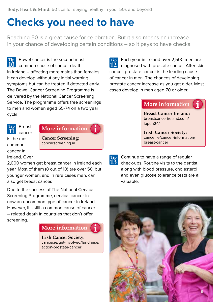### **Checks you need to have**

Reaching 50 is a great cause for celebration. But it also means an increase in your chance of developing certain conditions – so it pays to have checks.

Bowel cancer is the second most common cause of cancer death in Ireland – affecting more males than females. It can develop without any initial warning symptoms but can be treated if detected early. The Bowel Cancer Screening Programme is delivered by the National Cancer Screening Service. The programme offers free screenings to men and women aged 55-74 on a two year cycle. **Tip 10**

Each year in Ireland over 2,500 men are diagnosed with prostate cancer. After skin cancer, prostate cancer is the leading cause of cancer in men. The chances of developing prostate cancer increase as you get older. Most cases develop in men aged 70 or older. **Tip 12**

#### **More information**

**Breast Cancer Ireland:** breastcancerireland.com/ iopen24/

**Irish Cancer Society:** cancer.ie/cancer-information/ breast-cancer

is the most common cancer in

**Tip 11**

**More information Cancer Screening:** cancerscreening.ie

Breast cancer

Ireland. Over

2,000 women get breast cancer in Ireland each year. Most of them (8 out of 10) are over 50, but younger women, and in rare cases men, can also get breast cancer.

Due to the success of The National Cervical Screening Programme, cervical cancer in now an uncommon type of cancer in Ireland. However, it's still a common cause of cancer – related death in countries that don't offer screening.



**Irish Cancer Society:** cancer.ie/get-involved/fundraise/ action-prostate-cancer

**Tip 13**

Continue to have a range of regular check-ups. Routine visits to the dentist along with blood pressure, cholesterol and even glucose tolerance tests are all valuable.

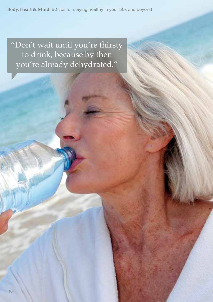"Don't wait until you're thirsty to drink, because by then you're already dehydrated."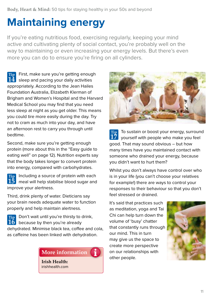# **Maintaining energy**

If you're eating nutritious food, exercising regularly, keeping your mind active and cultivating plenty of social contact, you're probably well on the way to maintaining or even increasing your energy levels. But there's even more you can do to ensure you're firing on all cylinders.

First, make sure you're getting enough  $\bf 14$  sleep and pacing your daily activities appropriately. According to the Jean Hailes Foundation Australia, Elizabeth Klerman of Brigham and Women's Hospital and the Harvard Medical School you may find that you need less sleep at night as you get older. This means you could tire more easily during the day. Try not to cram as much into your day, and have an afternoon rest to carry you through until bedtime. **Tip** 

Second, make sure you're getting enough protein (more about this in the "Easy guide to eating well" on page 12). Nutrition experts say that the body takes longer to convert protein into energy, compared with carbohydrates.

Including a source of protein with each **Tip**   $\overline{15}$  meal will help stabilise blood sugar and improve your alertness.

Third, drink plenty of water. Dieticians say your brain needs adequate water to function properly and help maintain alertness.

Don't wait until you're thirsty to drink, **Tip**   $\overline{{\bf 16}}$  because by then you're already dehydrated. Minimise black tea, coffee and cola, as caffeine has been linked with dehydration.

**More information** 

**Irish Health:** irishhealth.com



To sustain or boost your energy, surround  $17$  yourself with people who make you feel good. That may sound obvious – but how many times have you maintained contact with someone who drained your energy, because you didn't want to hurt them? **Tip** 

Whilst you don't always have control over who is in your life (you can't choose your relatives for example!) there are ways to control your responses to their behaviour so that you don't feel stressed or drained.

It's said that practices such as meditation, yoga and Tai Chi can help turn down the volume of 'busy' chatter that constantly runs through our mind. This in turn may give us the space to create more perspective on our relationships with other people.

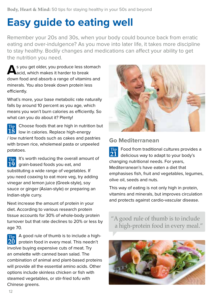### **Easy guide to eating well**

Remember your 20s and 30s, when your body could bounce back from erratic eating and over-indulgence? As you move into later life, it takes more discipline to stay healthy. Bodily changes and medications can affect your ability to get the nutrition you need.

**A**s you get older, you produce less stomach acid, which makes it harder to break down food and absorb a range of vitamins and minerals. You also break down protein less efficiently.

What's more, your base metabolic rate naturally falls by around 10 percent as you age, which means you won't burn calories as efficiently. So what can you do about it? Plenty!

Choose foods that are high in nutrition but **Tip**   $\overline{18}$  low in calories. Replace high-energy / low nutrient foods such as cakes and pastries with brown rice, wholemeal pasta or unpeeled potatoes.

It's worth reducing the overall amount of **Tip**  grain-based foods you eat, and substituting a wide range of vegetables. If you need coaxing to eat more veg, try adding vinegar and lemon juice (Greek-style), soy sauce or ginger (Asian-style) or preparing an Indian-style curry. **19**

Next increase the amount of protein in your diet. According to various research protein tissue accounts for 30% of whole-body protein turnover but that rate declines to 20% or less by age 70.

A good rule of thumb is to include a high-**Tip**  protein food in every meal. This needn't **20** involve buying expensive cuts of meat. Try an omelette with canned bean salad. The combination of animal and plant-based proteins will provide all the essential amino acids. Other options include skinless chicken or fish with steamed vegetables, or stir-fried tofu with Chinese greens.



#### **Go Mediterranean**

Food from traditional cultures provides a **Tip**  delicious way to adapt to your body's changing nutritional needs. For years, Mediterranean's have eaten a diet that emphasises fish, fruit and vegetables, legumes, olive oil, seeds and nuts. **21**

This way of eating is not only high in protein, vitamins and minerals, but improves circulation and protects against cardio-vascular disease.

#### "A good rule of thumb is to include a high-protein food in every meal."

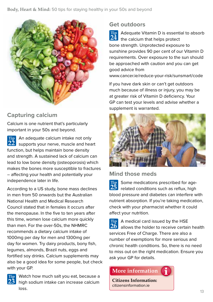

#### **Capturing calcium**

Calcium is one nutrient that's particularly important in your 50s and beyond.

An adequate calcium intake not only **Tip**  supports your nerve, muscle and heart **22** function, but helps maintain bone density and strength. A sustained lack of calcium can lead to low bone density (osteoporosis) which makes the bones more susceptible to fractures – affecting your health and potentially your independence later in life.

According to a US study, bone mass declines in men from 50 onwards but the Australian National Health and Medical Research Council stated that in females it occurs after the menopause. In the five to ten years after this time, women lose calcium more quickly than men. For the over-50s, the NHMRC recommends a dietary calcium intake of 1000mg per day for men and 1300mg per day for women. Try dairy products, bony fish, legumes, almonds, Brazil nuts, eggs and fortified soy drinks. Calcium supplements may also be a good idea for some people, but check with your GP.



Watch how much salt you eat, because a high sodium intake can increase calcium loss.

#### **Get outdoors**

Adequate Vitamin D is essential to absorb **Tip**  24 the calcium that helps protect bone strength. Unprotected exposure to sunshine provides 90 per cent of our Vitamin D requirements. Over exposure to the sun should be approached with caution and you can get good advice from

www.cancer.ie/reduce-your-risk/sunsmart/code

If you have dark skin or can't get outdoors much because of illness or injury, you may be at greater risk of Vitamin D deficiency. Your GP can test your levels and advise whether a supplement is warranted.



#### **Mind those meds**

Some medications prescribed for age-**Tip**  25 related conditions such as reflux, high blood pressure and diabetes can interfere with nutrient absorption. If you're taking medication, check with your pharmacist whether it could affect your nutrition.

A medical card issued by the HSE **Tip**  allows the holder to receive certain health **26**services Free of Charge. There are also a number of exemptions for more serious and chronic health conditions. So, there is no need to miss out on the right medication. Ensure you ask your GP for details.

#### **More information**

**Citizens Information:** citizensinformation.ie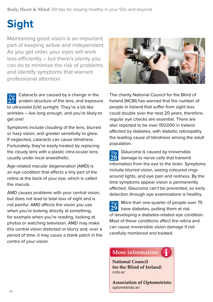# **Sight**

Maintaining good vision is an important part of keeping active and independent. As you get older, your eyes will work less efficiently – but there's plenty you can do to minimise the risk of problems and identify symptoms that warrant professional attention.

Cataracts are caused by a change in the protein structure of the lens, and exposure to ultraviolet (UV) sunlight. They're a bit like wrinkles – live long enough, and you're likely to get one! **Tip 27**

Symptoms include clouding of the lens, blurred or hazy vision, and greater sensitivity to glare. If neglected, cataracts can cause blindness. Fortunately, they're easily treated by replacing the cloudy lens with a plastic intra-ocular lens; usually under local anaesthetic.

Age-related macular degeneration (AMD) is an eye condition that affects a tiny part of the retina at the back of your eye, which is called the macula.

AMD causes problems with your central vision, but does not lead to total loss of sight and is not painful. AMD affects the vision you use when you're looking directly at something. for example when you're reading, looking at photos or watching television. AMD may make this central vision distorted or blurry and, over a period of time, it may cause a blank patch in the centre of your vision.



The charity National Council for the Blind of Ireland (NCBI) has warned that the number of people in Ireland that suffer from sight loss could double over the next 20 years, therefore, regular eye checks are essential. There are also reported to be over 150,000 in Ireland affected by diabetes, with diabetic retinopathy the leading cause of blindness among the adult population.

Glaucoma is caused by irreversible damage to nerve cells that transmit **28** information from the eye to the brain. Symptoms include blurred vision, seeing coloured rings around lights, and eye pain and redness. By the time symptoms appear vision is permanently affected. Glaucoma can't be prevented, so early detection through eye examinations is healthy. **Tip** 

More than one-quarter of people over 75 have diabetes, putting them at risk of developing a diabetes-related eye condition. Most of these conditions affect the retina and can cause irreversible vision damage if not carefully monitored and treated. **Tip 29**

#### **More information**

**National Council for the Blind of Ireland:** ncbi.ie/

**Association of Optometrists:**  optometrists.ie/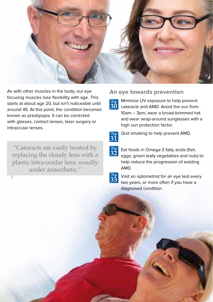

As with other muscles in the body, our eye focusing muscles lose flexibility with age. This starts at about age 20, but isn't noticeable until around 45. At this point, the condition becomes known as presbyopia. It can be corrected with glasses, contact lenses, laser surgery or intraocular lenses.

"Cataracts are easily treated by replacing the cloudy lens with a plastic intra-ocular lens; usually under anaesthetic."

#### **An eye towards prevention**

**Tip 30**

Minimise UV exposure to help prevent cataracts and AMD. Avoid the sun from 10am – 3pm, wear a broad-brimmed hat and wear wrap-around sunglasses with a high sun protection factor.



Quit smoking to help prevent AMD.

Eat foods in Omega-3 fatty acids (fish, eggs, green leafy vegetables and nuts) to help reduce the progression of existing AMD. **Tip 32**

Visit an optometrist for an eye test every two years, or more often if you have a diagnosed condition.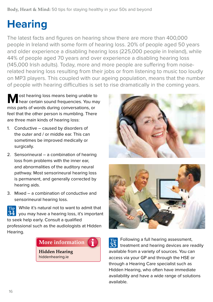# **Hearing**

The latest facts and figures on hearing show there are more than 400,000 people in Ireland with some form of hearing loss. 20% of people aged 50 years and older experience a disabling hearing loss (225,000 people in Ireland), while 44% of people aged 70 years and over experience a disabling hearing loss (145,000 Irish adults). Today, more and more people are suffering from noiserelated hearing loss resulting from their jobs or from listening to music too loudly on MP3 players. This coupled with our ageing population, means that the number of people with hearing difficulties is set to rise dramatically in the coming years.

**M** ost hearing loss means being unable to<br>hear certain sound frequencies. You may miss parts of words during conversations, or feel that the other person is mumbling. There are three main kinds of hearing loss:

- 1. Conductive caused by disorders of the outer and / or middle ear. This can sometimes be improved medically or surgically.
- 2. Sensorineural a combination of hearing loss from problems with the inner ear, and abnormalities of the auditory neural pathway. Most sensorineural hearing loss is permanent, and generally corrected by hearing aids.
- 3. Mixed a combination of conductive and sensorineural hearing loss.

While it's natural not to want to admit that **Tip**   $\bf{34}$  you may have a hearing loss, it's important to seek help early. Consult a qualified professional such as the audiologists at Hidden Hearing.

#### **35 More information**

**Hidden Hearing** hiddenhearing.ie





Following a full hearing assessment, treatment and hearing devices are readily available from a variety of sources. You can access via your GP and through the HSE or through a Hearing Care specialist such as Hidden Hearing, who often have immediate availability and have a wide range of solutions available. **Tip**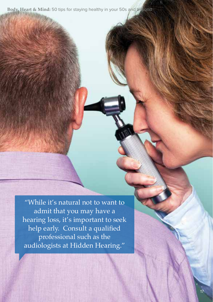"While it's natural not to want to admit that you may have a hearing loss, it's important to seek help early. Consult a qualified professional such as the audiologists at Hidden Hearing."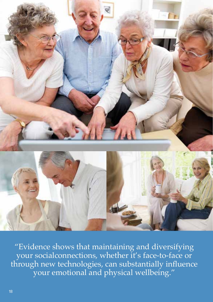

"Evidence shows that maintaining and diversifying your socialconnections, whether it's face-to-face or through new technologies, can substantially influence your emotional and physical wellbeing."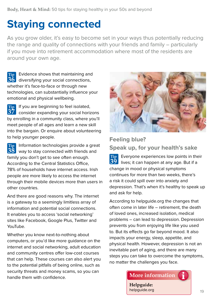# **Staying connected**

As you grow older, it's easy to become set in your ways thus potentially reducing the range and quality of connections with your friends and family – particularly if you move into retirement accommodation where most of the residents are around your own age.

Evidence shows that maintaining and  $\overline{36}$  diversifying your social connections, whether it's face-to-face or through new technologies, can substantially influence your emotional and physical wellbeing. **Tip** 

If you are beginning to feel isolated, **Tip**  consider expanding your social horizons **37** by enrolling in a community class, where you'll meet people of all ages and learn a new skill into the bargain. Or enquire about volunteering to help younger people.

**Tip** Information technologies provide a great way to stay connected with friends and **38** family you don't get to see often enough. According to the Central Statistics Office, 78% of households have internet access. Irish people are more likely to access the internet through their mobile devices more than users in other countries.

And there are good reasons why. The internet is a gateway to a seemingly limitless array of information and potential social connections. It enables you to access 'social networking' sites like Facebook, Google Plus, Twitter and YouTube.

Whether you know next-to-nothing about computers, or you'd like more guidance on the internet and social networking, adult education and community centres offer low-cost courses that can help. These courses can also alert you to the potential pitfalls of being online, such as security threats and money scams, so you can handle them with confidence.



#### **Feeling blue? Speak up, for your health's sake**

Everyone experiences low points in their **Tip**  lives; it can happen at any age. But if a **39**change in mood or physical symptoms continues for more than two weeks, there's a risk it could spill over into anxiety and depression. That's when it's healthy to speak up and ask for help.

According to helpguide.org the changes that often come in later life – retirement, the death of loved ones, increased isolation, medical problems – can lead to depression. Depression prevents you from enjoying life like you used to. But its effects go far beyond mood. It also impacts your energy, sleep, appetite, and physical health. However, depression is not an inevitable part of aging, and there are many steps you can take to overcome the symptoms, no matter the challenges you face.

**More information** 

**Helpguide:** helpguide.org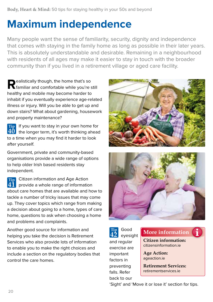# **Maximum independence**

Many people want the sense of familiarity, security, dignity and independence that comes with staying in the family home as long as possible in their later years. This is absolutely understandable and desirable. Remaining in a neighbourhood with residents of all ages may make it easier to stay in touch with the broader community than if you lived in a retirement village or aged care facility.

**R**ealistically though, the home that's so<br>**Realistical** and comfortable while you're still healthy and mobile may become harder to inhabit if you eventually experience age-related illness or injury. Will you be able to get up and down stairs? What about gardening, housework and property maintenance?

If you want to stay in your own home for **Tip**   $\overline{40}\,$  the longer term, it's worth thinking ahead to a time when you may find it harder to look after yourself.

Government, private and community-based organisations provide a wide range of options to help older Irish based residents stay independent.

Citizen information and Age Action **Tip**  provide a whole range of information about care homes that are available and how to tackle a number of tricky issues that may come up. They cover topics which range from making a decision about going to a home, types of care home, questions to ask when choosing a home and problems and complaints. **41**

Another good source for information and helping you take the decision is Retirement Services who also provide lots of information to enable you to make the right choices and include a section on the regulatory bodies that control the care homes.





Good **Tip**  eyesight and regular exercise are important factors in preventing falls. Refer back to our **42**

#### **More information**

**Citizen information:** citizensinformation.ie

**Age Action:** ageaction.ie

**Retirement Services:** retirementservices.ie

'Sight' and 'Move it or lose it' section for tips.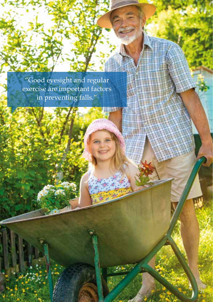"Good eyesight and regular exercise are important factors in preventing falls."

**HAN ST** 

21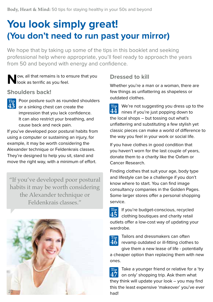### **You look simply great! (You don't need to run past your mirror)**

We hope that by taking up some of the tips in this booklet and seeking professional help where appropriate, you'll feel ready to approach the years from 50 and beyond with energy and confidence.

**N**ow, all that remains is to ensure that you look as terrific as you feel.

#### **Shoulders back!**

Poor posture such as rounded shoulders or a sinking chest can create the impression that you lack confidence. It can also restrict your breathing, and cause back and neck pain. **11p** Poor posture such as rounded shoulders<br>**43** or a sinking chest can create the

If you've developed poor postural habits from using a computer or sustaining an injury, for example, it may be worth considering the Alexander technique or Feldenkrais classes. They're designed to help you sit, stand and move the right way, with a minimum of effort.

"If you've developed poor postural habits it may be worth considering the Alexander technique or Feldenkrais classes."



#### **Dressed to kill**

Whether you're a man or a woman, there are few things as unflattering as shapeless or outdated clothes.

**Tip** We're not suggesting you dress up to the nines if you're just popping down to **44** the local shops – but tossing out what's unflattering and substituting a few stylish yet classic pieces can make a world of difference to the way you feel in your work or social life.

If you have clothes in good condition that you haven't worn for the last couple of years, donate them to a charity like the Oxfam or Cancer Research.

Finding clothes that suit your age, body type and lifestyle can be a challenge if you don't know where to start. You can find image consultancy companies in the Golden Pages. Some larger stores offer a personal shopping service.

If you're budget-conscious, recycled **Tip**  clothing boutiques and charity retail **45** outlets offer a low-cost way of updating your wardrobe.

**Tip 46**

Tailors and dressmakers can often revamp outdated or ill-fitting clothes to

give them a new lease of life - potentially a cheaper option than replacing them with new ones.

Take a younger friend or relative for a 'try on only' shopping trip. Ask them what they think will update your look – you may find this the least expensive 'makeover' you've ever had! **Tip 47**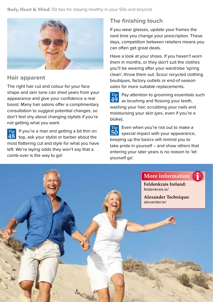

#### **Hair apparent**

The right hair cut and colour for your face shape and skin tone can shed years from your appearance and give your confidence a real boost. Many hair salons offer a complimentary consultation to suggest potential changes, so don't feel shy about changing stylists if you're not getting what you want.

If you're a man and getting a bit thin on **Tip**   $\overline{48}\,$  top, ask your stylist or barber about the most flattering cut and style for what you have left. We're laying odds they won't say that a comb-over is the way to go!

#### **The finishing touch**

If you wear glasses, update your frames the next time you change your prescription. These days, competition between retailers means you can often get great deals.

Have a look at your shoes. If you haven't worn them in months, or they don't suit the clothes you'll be wearing after your wardrobe 'spring clean', throw them out. Scour recycled clothing boutiques, factory outlets or end-of season sales for more suitable replacements.

Pay attention to grooming essentials such **Tip**  as brushing and flossing your teeth, **49** washing your hair, scrubbing your nails and moisturising your skin (yes, even if you're a bloke).

Even when you're not out to make a  $\mathbf{50}$  special impact with your appearance, keeping up the basics will remind you to take pride in yourself – and show others that entering your later years is no reason to 'let yourself go'. **Tip**